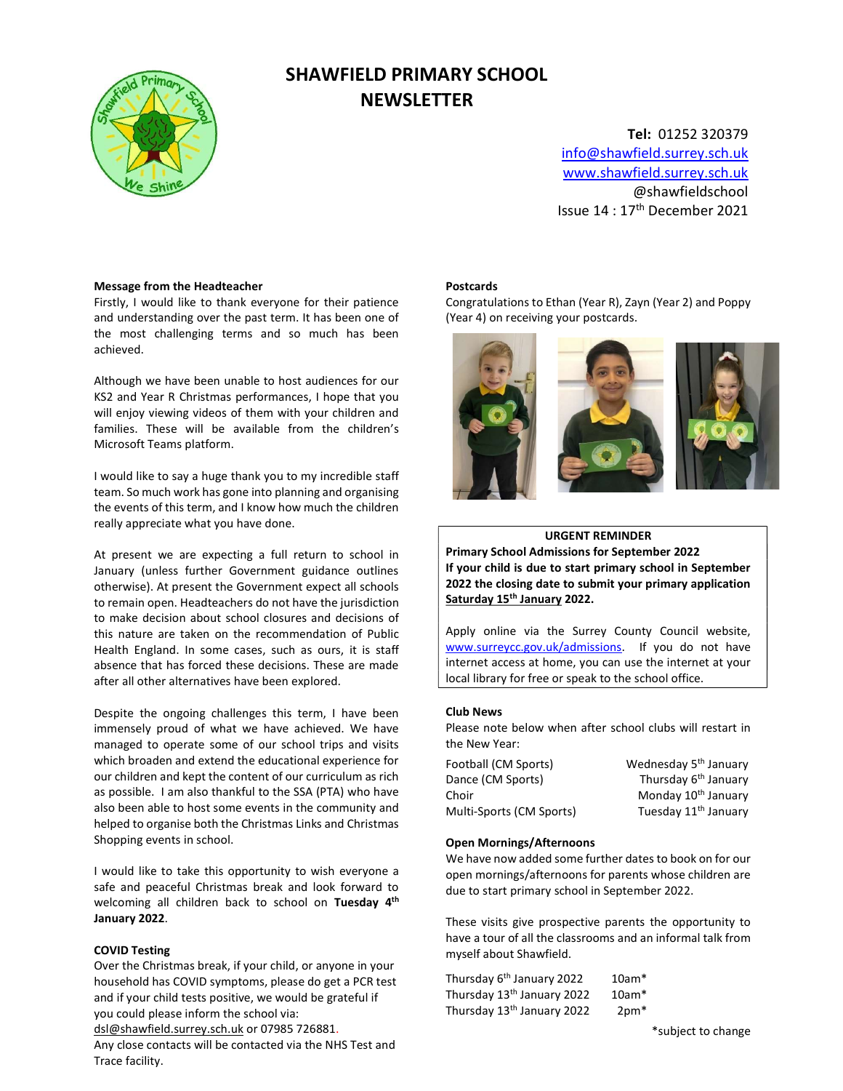

# SHAWFIELD PRIMARY SCHOOL **NEWSLETTER**

Tel: 01252 320379 info@shawfield.surrey.sch.uk www.shawfield.surrey.sch.uk @shawfieldschool Issue 14 : 17th December 2021

### Message from the Headteacher

Firstly, I would like to thank everyone for their patience and understanding over the past term. It has been one of the most challenging terms and so much has been achieved.

Although we have been unable to host audiences for our KS2 and Year R Christmas performances, I hope that you will enjoy viewing videos of them with your children and families. These will be available from the children's Microsoft Teams platform.

I would like to say a huge thank you to my incredible staff team. So much work has gone into planning and organising the events of this term, and I know how much the children really appreciate what you have done.

At present we are expecting a full return to school in January (unless further Government guidance outlines otherwise). At present the Government expect all schools to remain open. Headteachers do not have the jurisdiction to make decision about school closures and decisions of this nature are taken on the recommendation of Public Health England. In some cases, such as ours, it is staff absence that has forced these decisions. These are made after all other alternatives have been explored.

Despite the ongoing challenges this term, I have been immensely proud of what we have achieved. We have managed to operate some of our school trips and visits which broaden and extend the educational experience for our children and kept the content of our curriculum as rich as possible. I am also thankful to the SSA (PTA) who have also been able to host some events in the community and helped to organise both the Christmas Links and Christmas Shopping events in school.

I would like to take this opportunity to wish everyone a safe and peaceful Christmas break and look forward to welcoming all children back to school on Tuesday 4<sup>th</sup> January 2022.

# COVID Testing

Over the Christmas break, if your child, or anyone in your household has COVID symptoms, please do get a PCR test and if your child tests positive, we would be grateful if you could please inform the school via:

dsl@shawfield.surrey.sch.uk or 07985 726881.

Any close contacts will be contacted via the NHS Test and Trace facility.

#### Postcards

Congratulations to Ethan (Year R), Zayn (Year 2) and Poppy (Year 4) on receiving your postcards.



## URGENT REMINDER

Primary School Admissions for September 2022 If your child is due to start primary school in September 2022 the closing date to submit your primary application Saturday 15<sup>th</sup> January 2022.

Apply online via the Surrey County Council website, www.surreycc.gov.uk/admissions. If you do not have internet access at home, you can use the internet at your local library for free or speak to the school office.

#### Club News

Please note below when after school clubs will restart in the New Year:

| Wednesday 5 <sup>th</sup> January |
|-----------------------------------|
| Thursday 6 <sup>th</sup> January  |
| Monday 10 <sup>th</sup> January   |
| Tuesday 11 <sup>th</sup> January  |
|                                   |

# Open Mornings/Afternoons

We have now added some further dates to book on for our open mornings/afternoons for parents whose children are due to start primary school in September 2022.

These visits give prospective parents the opportunity to have a tour of all the classrooms and an informal talk from myself about Shawfield.

| Thursday 6 <sup>th</sup> January 2022  | $10am*$ |
|----------------------------------------|---------|
| Thursday 13 <sup>th</sup> January 2022 | $10am*$ |
| Thursday 13 <sup>th</sup> January 2022 | $2pm*$  |

\*subject to change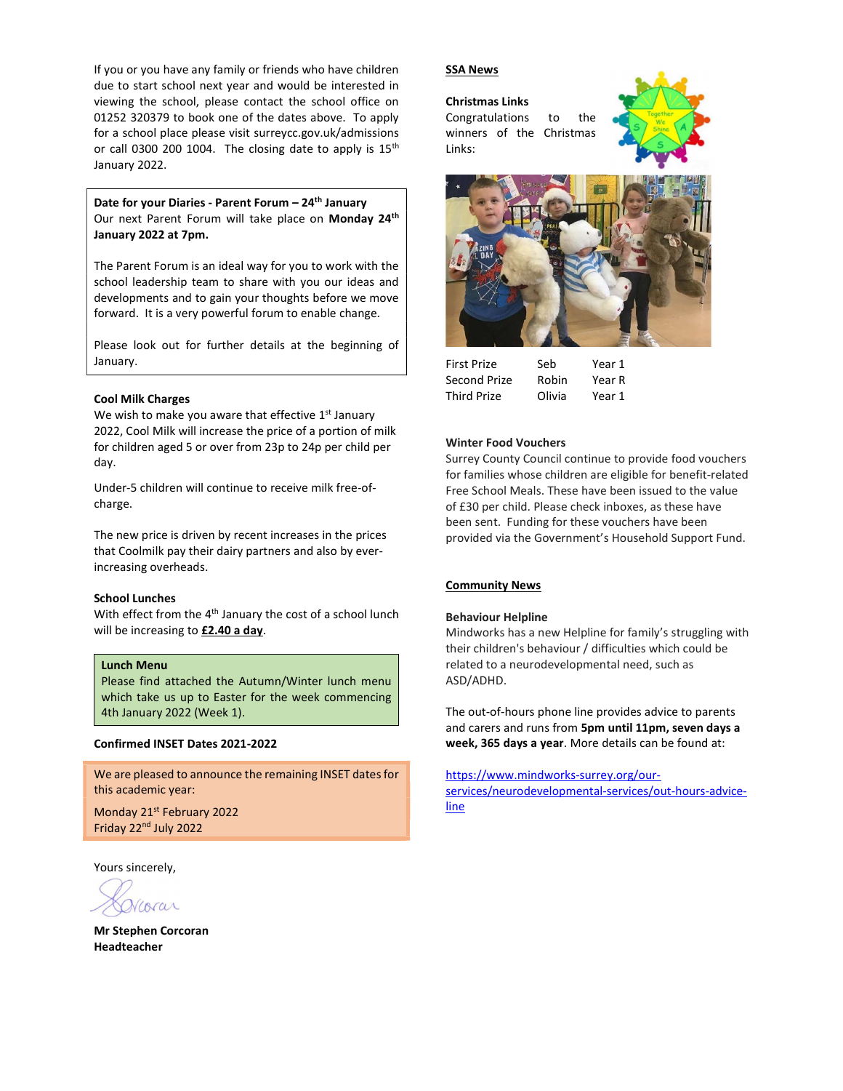If you or you have any family or friends who have children due to start school next year and would be interested in viewing the school, please contact the school office on 01252 320379 to book one of the dates above. To apply for a school place please visit surreycc.gov.uk/admissions or call 0300 200 1004. The closing date to apply is  $15<sup>th</sup>$ January 2022.

Date for your Diaries - Parent Forum - 24<sup>th</sup> January Our next Parent Forum will take place on Monday 24<sup>th</sup> January 2022 at 7pm.

The Parent Forum is an ideal way for you to work with the school leadership team to share with you our ideas and developments and to gain your thoughts before we move forward. It is a very powerful forum to enable change.

Please look out for further details at the beginning of January.

#### Cool Milk Charges

We wish to make you aware that effective  $1<sup>st</sup>$  January 2022, Cool Milk will increase the price of a portion of milk for children aged 5 or over from 23p to 24p per child per day.

Under-5 children will continue to receive milk free-ofcharge.

The new price is driven by recent increases in the prices that Coolmilk pay their dairy partners and also by everincreasing overheads.

# School Lunches

With effect from the 4<sup>th</sup> January the cost of a school lunch will be increasing to £2.40 a day.

### Lunch Menu

Please find attached the Autumn/Winter lunch menu which take us up to Easter for the week commencing 4th January 2022 (Week 1).

#### Confirmed INSET Dates 2021-2022

We are pleased to announce the remaining INSET dates for this academic year:

Monday 21st February 2022 Friday 22nd July 2022

Yours sincerely,

Mr Stephen Corcoran Headteacher

#### SSA News

#### Christmas Links

Congratulations to the winners of the Christmas Links:





| Seb.   | Year 1 |
|--------|--------|
| Robin  | Year R |
| Olivia | Year 1 |
|        |        |

#### Winter Food Vouchers

Surrey County Council continue to provide food vouchers for families whose children are eligible for benefit-related Free School Meals. These have been issued to the value of £30 per child. Please check inboxes, as these have been sent. Funding for these vouchers have been provided via the Government's Household Support Fund.

# Community News

#### Behaviour Helpline

Mindworks has a new Helpline for family's struggling with their children's behaviour / difficulties which could be related to a neurodevelopmental need, such as ASD/ADHD.

The out-of-hours phone line provides advice to parents and carers and runs from 5pm until 11pm, seven days a week, 365 days a year. More details can be found at:

https://www.mindworks-surrey.org/ourservices/neurodevelopmental-services/out-hours-advice-

line